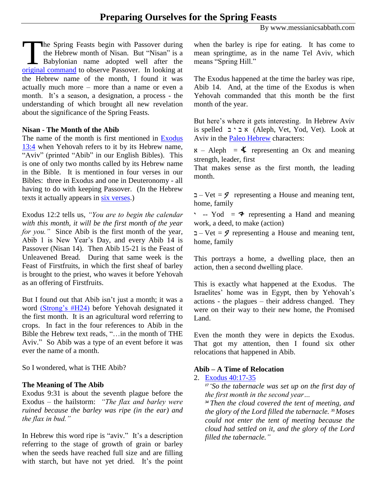By www.messianicsabbath.com

The Spring Feasts begin with Passover during<br>the Hebrew month of Nisan. But "Nisan" is a<br>Babylonian name adopted well after the<br>original command to observe Passover. In looking at the Hebrew month of Nisan. But "Nisan" is a Babylonian name adopted well after the [original command](https://www.biblegateway.com/passage/?search=Exodus+13%3A1-16&version=NASB) to observe Passover. In looking at the Hebrew name of the month, I found it was actually much more – more than a name or even a month. It's a season, a designation, a process - the understanding of which brought all new revelation about the significance of the Spring Feasts.

### **Nisan - The Month of the Abib**

The name of the month is first mentioned in [Exodus](https://www.biblegateway.com/passage/?search=Exodus+13%3A4&version=NASB)  [13:4](https://www.biblegateway.com/passage/?search=Exodus+13%3A4&version=NASB) when Yehovah refers to it by its Hebrew name, "Aviv" (printed "Abib" in our English Bibles). This is one of only two months called by its Hebrew name in the Bible. It is mentioned in four verses in our Bibles: three in Exodus and one in Deuteronomy - all having to do with keeping Passover. (In the Hebrew texts it actually appears in [six verses.](http://biblehub.com/hebrew/strongs_24.htm))

Exodus 12:2 tells us, *"You are to begin the calendar with this month, it will be the first month of the year for you."* Since Abib is the first month of the year, Abib 1 is New Year's Day, and every Abib 14 is Passover (Nisan 14). Then Abib 15-21 is the Feast of Unleavened Bread. During that same week is the Feast of Firstfruits, in which the first sheaf of barley is brought to the priest, who waves it before Yehovah as an offering of Firstfruits.

But I found out that Abib isn't just a month; it was a word [\(Strong's #H24\)](http://biblehub.com/hebrew/24.htm) before Yehovah designated it the first month. It is an agricultural word referring to crops. In fact in the four references to Abib in the Bible the Hebrew text reads, "…in the month of THE Aviv." So Abib was a type of an event before it was ever the name of a month.

So I wondered, what is THE Abib?

## **The Meaning of The Abib**

Exodus 9:31 is about the seventh plague before the Exodus – the hailstorm: *"The flax and barley were ruined because the barley was ripe (in the ear) and the flax in bud."*

In Hebrew this word ripe is "aviv." It's a description referring to the stage of growth of grain or barley when the seeds have reached full size and are filling with starch, but have not yet dried. It's the point when the barley is ripe for eating. It has come to mean springtime, as in the name Tel Aviv, which means "Spring Hill."

The Exodus happened at the time the barley was ripe, Abib 14. And, at the time of the Exodus is when Yehovah commanded that this month be the first month of the year.

But here's where it gets interesting. In Hebrew Aviv is spelled  $\Box$ א ב' ב) (Aleph, Vet, Yod, Vet). Look at Aviv in the Paleo [Hebrew](http://api.ning.com/files/80hs8fQO0apNYkWqisoxYs8lLVFS5YBfu9EN1qRZdmEvRnR9j72BJXxOQSQEXXVpytVK83srCSbAHTotvP8bkGZ6sX35TsjW/AHAC_JEM_9.pdf) characters:

 $x - Aleph =$   $\text{\LARGE $\blacktriangle$}$  representing an Ox and meaning strength, leader, first

That makes sense as the first month, the leading month.

 $\Box$  – Vet = 9 representing a House and meaning tent, home, family

 $\cdot$  -- Yod =  $\rightarrow$  representing a Hand and meaning work, a deed, to make (action)

 $\Box$  – Vet = 9 representing a House and meaning tent, home, family

This portrays a home, a dwelling place, then an action, then a second dwelling place.

This is exactly what happened at the Exodus. The Israelites' home was in Egypt, then by Yehovah's actions - the plagues – their address changed. They were on their way to their new home, the Promised Land.

Even the month they were in depicts the Exodus. That got my attention, then I found six other relocations that happened in Abib.

# **Abib – A Time of Relocation**

## 2. [Exodus 40:17-35](https://www.biblegateway.com/passage/?search=Exodus%2040%3A17%20-35&version=NIV)

*17 "So the tabernacle was set up on the first day of the first month in the second year…*

*<sup>34</sup>Then the cloud covered the tent of meeting, and the glory of the Lord filled the tabernacle. <sup>35</sup>Moses could not enter the tent of meeting because the cloud had settled on it, and the glory of the Lord filled the tabernacle."*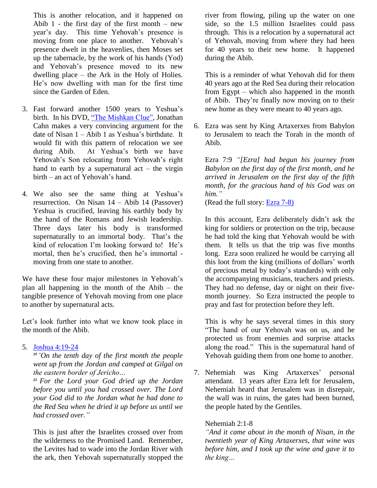This is another relocation, and it happened on Abib  $1$  - the first day of the first month – new year's day. This time Yehovah's presence is moving from one place to another. Yehovah's presence dwelt in the heavenlies, then Moses set up the tabernacle, by the work of his hands (Yod) and Yehovah's presence moved to its new dwelling place – the Ark in the Holy of Holies. He's now dwelling with man for the first time since the Garden of Eden.

- 3. Fast forward another 1500 years to Yeshua's birth. In his DVD, ["The Mishkan Clue",](http://www.wnd.com/2014/11/clue-to-christs-birth-date-revealed/) Jonathan Cahn makes a very convincing argument for the date of Nisan 1 – Abib 1 as Yeshua's birthdate. It would fit with this pattern of relocation we see during Abib. At Yeshua's birth we have Yehovah's Son relocating from Yehovah's right hand to earth by a supernatural  $act - the virgin$ birth – an act of Yehovah's hand.
- 4. We also see the same thing at Yeshua's resurrection. On Nisan 14 – Abib 14 (Passover) Yeshua is crucified, leaving his earthly body by the hand of the Romans and Jewish leadership. Three days later his body is transformed supernaturally to an immortal body. That's the kind of relocation I'm looking forward to! He's mortal, then he's crucified, then he's immortal moving from one state to another.

We have these four major milestones in Yehovah's plan all happening in the month of the Abib – the tangible presence of Yehovah moving from one place to another by supernatural acts.

Let's look further into what we know took place in the month of the Abib.

## 5. [Joshua 4:19-24](https://www.biblegateway.com/passage/?search=Joshua+4%3A19-24&version=NIV)

*19 "On the tenth day of the first month the people went up from the Jordan and camped at Gilgal on the eastern border of Jericho…*

*<sup>23</sup>For the Lord your God dried up the Jordan before you until you had crossed over. The Lord your God did to the Jordan what he had done to the Red Sea when he dried it up before us until we had crossed over."*

This is just after the Israelites crossed over from the wilderness to the Promised Land. Remember, the Levites had to wade into the Jordan River with the ark, then Yehovah supernaturally stopped the river from flowing, piling up the water on one side, so the 1.5 million Israelites could pass through. This is a relocation by a supernatural act of Yehovah, moving from where they had been for 40 years to their new home. It happened during the Abib.

This is a reminder of what Yehovah did for them 40 years ago at the Red Sea during their relocation from Egypt – which also happened in the month of Abib. They're finally now moving on to their new home as they were meant to 40 years ago.

6. Ezra was sent by King Artaxerxes from Babylon to Jerusalem to teach the Torah in the month of Abib.

Ezra 7:9 *"[Ezra] had begun his journey from Babylon on the first day of the first month, and he arrived in Jerusalem on the first day of the fifth month, for the gracious hand of his God was on him."*

(Read the full story: [Ezra 7-8\)](https://www.biblegateway.com/passage/?search=Ezra+7-8&version=NASB)

In this account, Ezra deliberately didn't ask the king for soldiers or protection on the trip, because he had told the king that Yehovah would be with them. It tells us that the trip was five months long. Ezra soon realized he would be carrying all this loot from the king (millions of dollars' worth of precious metal by today's standards) with only the accompanying musicians, teachers and priests. They had no defense, day or night on their fivemonth journey. So Ezra instructed the people to pray and fast for protection before they left.

This is why he says several times in this story "The hand of our Yehovah was on us, and he protected us from enemies and surprise attacks along the road." This is the supernatural hand of Yehovah guiding them from one home to another.

7. Nehemiah was King Artaxerxes' personal attendant. 13 years after Ezra left for Jerusalem, Nehemiah heard that Jerusalem was in disrepair, the wall was in ruins, the gates had been burned, the people hated by the Gentiles.

## Nehemiah 2:1-8

*"And it came about in the month of Nisan, in the twentieth year of King Artaxerxes, that wine was before him, and I took up the wine and gave it to the king…*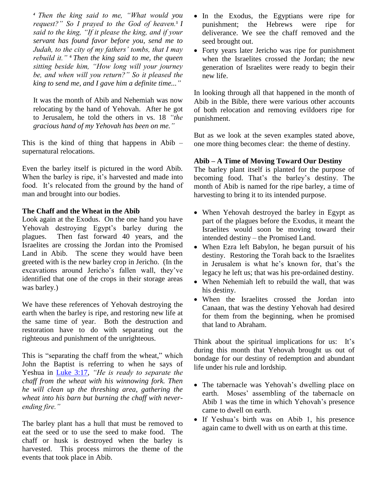*<sup>4</sup>Then the king said to me, "What would you request?" So I prayed to the God of heaven.5 I said to the king, "If it please the king, and if your servant has found favor before you, send me to Judah, to the city of my fathers' tombs, that I may rebuild it." <sup>6</sup>Then the king said to me, the queen sitting beside him, "How long will your journey be, and when will you return?" So it pleased the king to send me, and I gave him a definite time..."*

It was the month of Abib and Nehemiah was now relocating by the hand of Yehovah. After he got to Jerusalem, he told the others in vs. 18 *"the gracious hand of my Yehovah has been on me."*

This is the kind of thing that happens in Abib – supernatural relocations.

Even the barley itself is pictured in the word Abib. When the barley is ripe, it's harvested and made into food. It's relocated from the ground by the hand of man and brought into our bodies.

## **The Chaff and the Wheat in the Abib**

Look again at the Exodus. On the one hand you have Yehovah destroying Egypt's barley during the plagues. Then fast forward 40 years, and the Israelites are crossing the Jordan into the Promised Land in Abib. The scene they would have been greeted with is the new barley crop in Jericho. (In the excavations around Jericho's fallen wall, they've identified that one of the crops in their storage areas was barley.)

We have these references of Yehovah destroying the earth when the barley is ripe, and restoring new life at the same time of year. Both the destruction and restoration have to do with separating out the righteous and punishment of the unrighteous.

This is "separating the chaff from the wheat," which John the Baptist is referring to when he says of Yeshua in [Luke 3:17,](https://www.biblegateway.com/passage/?search=Luke+3%3A17&version=NLT) *"He is ready to separate the chaff from the wheat with his winnowing fork. Then he will clean up the threshing area, gathering the wheat into his barn but burning the chaff with neverending fire."*

The barley plant has a hull that must be removed to eat the seed or to use the seed to make food. The chaff or husk is destroyed when the barley is harvested. This process mirrors the theme of the events that took place in Abib.

- In the Exodus, the Egyptians were ripe for punishment; the Hebrews were ripe for deliverance. We see the chaff removed and the seed brought out.
- Forty years later Jericho was ripe for punishment when the Israelites crossed the Jordan; the new generation of Israelites were ready to begin their new life.

In looking through all that happened in the month of Abib in the Bible, there were various other accounts of both relocation and removing evildoers ripe for punishment.

But as we look at the seven examples stated above, one more thing becomes clear: the theme of destiny.

## **Abib – A Time of Moving Toward Our Destiny**

The barley plant itself is planted for the purpose of becoming food. That's the barley's destiny. The month of Abib is named for the ripe barley, a time of harvesting to bring it to its intended purpose.

- When Yehovah destroyed the barley in Egypt as part of the plagues before the Exodus, it meant the Israelites would soon be moving toward their intended destiny – the Promised Land.
- When Ezra left Babylon, he began pursuit of his destiny. Restoring the Torah back to the Israelites in Jerusalem is what he's known for, that's the legacy he left us; that was his pre-ordained destiny.
- When Nehemiah left to rebuild the wall, that was his destiny.
- When the Israelites crossed the Jordan into Canaan, that was the destiny Yehovah had desired for them from the beginning, when he promised that land to Abraham.

Think about the spiritual implications for us: It's during this month that Yehovah brought us out of bondage for our destiny of redemption and abundant life under his rule and lordship.

- The tabernacle was Yehovah's dwelling place on earth. Moses' assembling of the tabernacle on Abib 1 was the time in which Yehovah's presence came to dwell on earth.
- If Yeshua's birth was on Abib 1, his presence again came to dwell with us on earth at this time.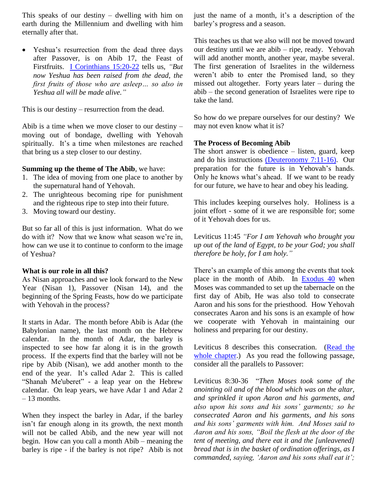This speaks of our destiny – dwelling with him on earth during the Millennium and dwelling with him eternally after that.

 Yeshua's resurrection from the dead three days after Passover, is on Abib 17, the Feast of Firstfruits. [I Corinthians](https://www.biblegateway.com/passage/?search=1+cor.+15%3A20-22&version=NASB) 15:20-22 tells us, *"But now Yeshua has been raised from the dead, the first fruits of those who are asleep… so also in Yeshua all will be made alive."*

This is our destiny – resurrection from the dead.

Abib is a time when we move closer to our destiny – moving out of bondage, dwelling with Yehovah spiritually. It's a time when milestones are reached that bring us a step closer to our destiny.

#### **Summing up the theme of The Abib**, we have:

- 1. The idea of moving from one place to another by the supernatural hand of Yehovah.
- 2. The unrighteous becoming ripe for punishment and the righteous ripe to step into their future.
- 3. Moving toward our destiny.

But so far all of this is just information. What do we do with it? Now that we know what season we're in, how can we use it to continue to conform to the image of Yeshua?

## **What is our role in all this?**

As Nisan approaches and we look forward to the New Year (Nisan 1), Passover (Nisan 14), and the beginning of the Spring Feasts, how do we participate with Yehovah in the process?

It starts in Adar. The month before Abib is Adar (the Babylonian name), the last month on the Hebrew calendar. In the month of Adar, the barley is inspected to see how far along it is in the growth process. If the experts find that the barley will not be ripe by Abib (Nisan), we add another month to the end of the year. It's called Adar 2. This is called "Shanah Me'uberet" - a leap year on the Hebrew calendar. On leap years, we have Adar 1 and Adar 2 – 13 months.

When they inspect the barley in Adar, if the barley isn't far enough along in its growth, the next month will not be called Abib, and the new year will not begin. How can you call a month Abib – meaning the barley is ripe - if the barley is not ripe? Abib is not just the name of a month, it's a description of the barley's progress and a season.

This teaches us that we also will not be moved toward our destiny until we are abib – ripe, ready. Yehovah will add another month, another year, maybe several. The first generation of Israelites in the wilderness weren't abib to enter the Promised land, so they missed out altogether. Forty years later – during the abib – the second generation of Israelites were ripe to take the land.

So how do we prepare ourselves for our destiny? We may not even know what it is?

## **The Process of Becoming Abib**

The short answer is obedience – listen, guard, keep and do his instructions [\(Deuteronomy](https://www.biblegateway.com/passage/?search=Deuteronomy+7%3A11-16&version=NASB) 7:11-16). Our preparation for the future is in Yehovah's hands. Only he knows what's ahead. If we want to be ready for our future, we have to hear and obey his leading.

This includes keeping ourselves holy. Holiness is a joint effort - some of it we are responsible for; some of it Yehovah does for us.

Leviticus 11:45 *"For I am Yehovah who brought you up out of the land of Egypt, to be your God; you shall therefore be holy, for I am holy."*

There's an example of this among the events that took place in the month of Abib. In [Exodus 40](https://www.biblegateway.com/passage/?search=Exodus+40&version=NASB) when Moses was commanded to set up the tabernacle on the first day of Abib, He was also told to consecrate Aaron and his sons for the priesthood. How Yehovah consecrates Aaron and his sons is an example of how we cooperate with Yehovah in maintaining our holiness and preparing for our destiny.

Leviticus 8 describes this consecration. [\(Read the](https://www.biblegateway.com/passage/?search=lev.+8&version=RSV)  [whole chapter.](https://www.biblegateway.com/passage/?search=lev.+8&version=RSV)) As you read the following passage, consider all the parallels to Passover:

Leviticus 8:30-36 "*Then Moses took some of the anointing oil and of the blood which was on the altar, and sprinkled it upon Aaron and his garments, and also upon his sons and his sons' garments; so he consecrated Aaron and his garments, and his sons and his sons' garments with him. And Moses said to Aaron and his sons, "Boil the flesh at the door of the tent of meeting, and there eat it and the [unleavened] bread that is in the basket of ordination offerings, as I commanded, saying, 'Aaron and his sons shall eat it';*